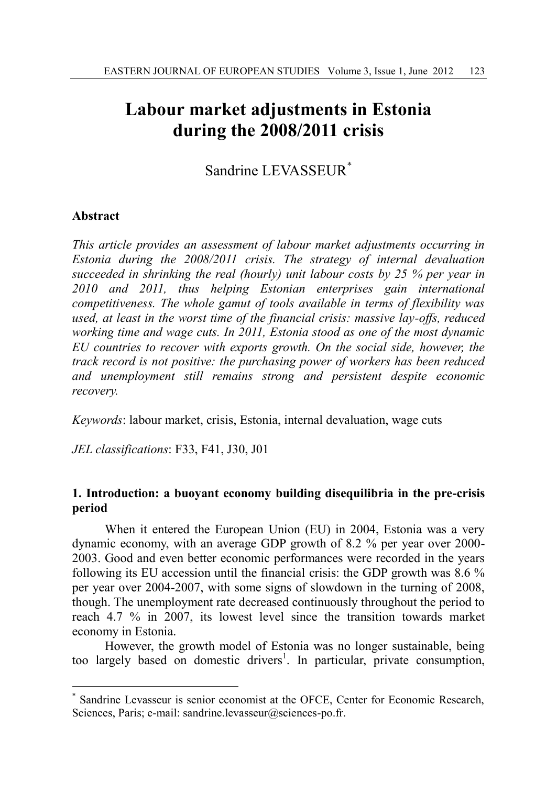# **Labour market adjustments in Estonia during the 2008/2011 crisis**

Sandrine LEVASSEUR<sup>\*</sup>

## **Abstract**

 $\overline{a}$ 

*This article provides an assessment of labour market adjustments occurring in Estonia during the 2008/2011 crisis. The strategy of internal devaluation succeeded in shrinking the real (hourly) unit labour costs by 25 % per year in 2010 and 2011, thus helping Estonian enterprises gain international competitiveness. The whole gamut of tools available in terms of flexibility was used, at least in the worst time of the financial crisis: massive lay-offs, reduced working time and wage cuts. In 2011, Estonia stood as one of the most dynamic EU countries to recover with exports growth. On the social side, however, the track record is not positive: the purchasing power of workers has been reduced and unemployment still remains strong and persistent despite economic recovery.* 

*Keywords*: labour market, crisis, Estonia, internal devaluation, wage cuts

*JEL classifications*: F33, F41, J30, J01

## **1. Introduction: a buoyant economy building disequilibria in the pre-crisis period**

When it entered the European Union (EU) in 2004, Estonia was a very dynamic economy, with an average GDP growth of 8.2 % per year over 2000- 2003. Good and even better economic performances were recorded in the years following its EU accession until the financial crisis: the GDP growth was 8.6 % per year over 2004-2007, with some signs of slowdown in the turning of 2008, though. The unemployment rate decreased continuously throughout the period to reach 4.7 % in 2007, its lowest level since the transition towards market economy in Estonia.

However, the growth model of Estonia was no longer sustainable, being too largely based on domestic drivers<sup>1</sup>. In particular, private consumption,

<sup>\*</sup> Sandrine Levasseur is senior economist at the OFCE, Center for Economic Research, Sciences, Paris; e-mail: sandrine.levasseur@sciences-po.fr.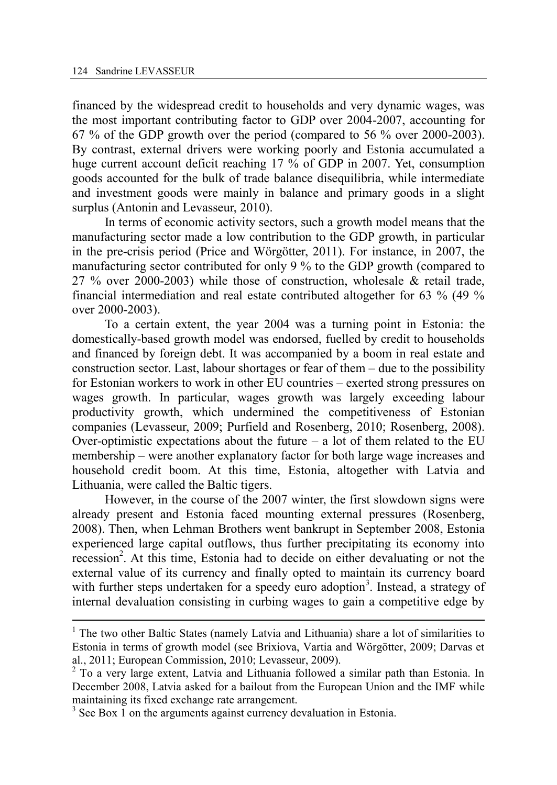financed by the widespread credit to households and very dynamic wages, was the most important contributing factor to GDP over 2004-2007, accounting for 67 % of the GDP growth over the period (compared to 56 % over 2000-2003). By contrast, external drivers were working poorly and Estonia accumulated a huge current account deficit reaching 17 % of GDP in 2007. Yet, consumption goods accounted for the bulk of trade balance disequilibria, while intermediate and investment goods were mainly in balance and primary goods in a slight surplus (Antonin and Levasseur, 2010).

In terms of economic activity sectors, such a growth model means that the manufacturing sector made a low contribution to the GDP growth, in particular in the pre-crisis period (Price and Wörgötter, 2011). For instance, in 2007, the manufacturing sector contributed for only 9 % to the GDP growth (compared to 27 % over 2000-2003) while those of construction, wholesale & retail trade, financial intermediation and real estate contributed altogether for 63 % (49 % over 2000-2003).

To a certain extent, the year 2004 was a turning point in Estonia: the domestically-based growth model was endorsed, fuelled by credit to households and financed by foreign debt. It was accompanied by a boom in real estate and construction sector. Last, labour shortages or fear of them – due to the possibility for Estonian workers to work in other EU countries – exerted strong pressures on wages growth. In particular, wages growth was largely exceeding labour productivity growth, which undermined the competitiveness of Estonian companies (Levasseur, 2009; Purfield and Rosenberg, 2010; Rosenberg, 2008). Over-optimistic expectations about the future  $-$  a lot of them related to the EU membership – were another explanatory factor for both large wage increases and household credit boom. At this time, Estonia, altogether with Latvia and Lithuania, were called the Baltic tigers.

However, in the course of the 2007 winter, the first slowdown signs were already present and Estonia faced mounting external pressures (Rosenberg, 2008). Then, when Lehman Brothers went bankrupt in September 2008, Estonia experienced large capital outflows, thus further precipitating its economy into recession<sup>2</sup>. At this time, Estonia had to decide on either devaluating or not the external value of its currency and finally opted to maintain its currency board with further steps undertaken for a speedy euro adoption<sup>3</sup>. Instead, a strategy of internal devaluation consisting in curbing wages to gain a competitive edge by

<sup>&</sup>lt;sup>1</sup> The two other Baltic States (namely Latvia and Lithuania) share a lot of similarities to Estonia in terms of growth model (see Brixiova, Vartia and Wörgötter, 2009; Darvas et al., 2011; European Commission, 2010; Levasseur, 2009).

<sup>&</sup>lt;sup>2</sup> To a very large extent, Latvia and Lithuania followed a similar path than Estonia. In December 2008, Latvia asked for a bailout from the European Union and the IMF while maintaining its fixed exchange rate arrangement.

 $3$  See Box 1 on the arguments against currency devaluation in Estonia.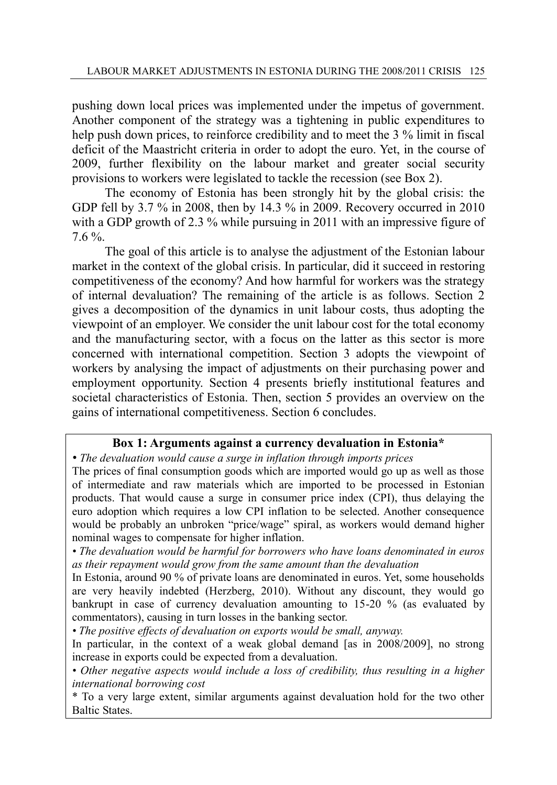pushing down local prices was implemented under the impetus of government. Another component of the strategy was a tightening in public expenditures to help push down prices, to reinforce credibility and to meet the 3 % limit in fiscal deficit of the Maastricht criteria in order to adopt the euro. Yet, in the course of 2009, further flexibility on the labour market and greater social security provisions to workers were legislated to tackle the recession (see Box 2).

The economy of Estonia has been strongly hit by the global crisis: the GDP fell by 3.7 % in 2008, then by 14.3 % in 2009. Recovery occurred in 2010 with a GDP growth of 2.3 % while pursuing in 2011 with an impressive figure of 7.6 %.

The goal of this article is to analyse the adjustment of the Estonian labour market in the context of the global crisis. In particular, did it succeed in restoring competitiveness of the economy? And how harmful for workers was the strategy of internal devaluation? The remaining of the article is as follows. Section 2 gives a decomposition of the dynamics in unit labour costs, thus adopting the viewpoint of an employer. We consider the unit labour cost for the total economy and the manufacturing sector, with a focus on the latter as this sector is more concerned with international competition. Section 3 adopts the viewpoint of workers by analysing the impact of adjustments on their purchasing power and employment opportunity. Section 4 presents briefly institutional features and societal characteristics of Estonia. Then, section 5 provides an overview on the gains of international competitiveness. Section 6 concludes.

## **Box 1: Arguments against a currency devaluation in Estonia\***

*• The devaluation would cause a surge in inflation through imports prices* 

The prices of final consumption goods which are imported would go up as well as those of intermediate and raw materials which are imported to be processed in Estonian products. That would cause a surge in consumer price index (CPI), thus delaying the euro adoption which requires a low CPI inflation to be selected. Another consequence would be probably an unbroken "price/wage" spiral, as workers would demand higher nominal wages to compensate for higher inflation.

*• The devaluation would be harmful for borrowers who have loans denominated in euros as their repayment would grow from the same amount than the devaluation* 

In Estonia, around 90 % of private loans are denominated in euros. Yet, some households are very heavily indebted (Herzberg, 2010). Without any discount, they would go bankrupt in case of currency devaluation amounting to 15-20 % (as evaluated by commentators), causing in turn losses in the banking sector.

*• The positive effects of devaluation on exports would be small, anyway.* 

In particular, in the context of a weak global demand [as in 2008/2009], no strong increase in exports could be expected from a devaluation.

*• Other negative aspects would include a loss of credibility, thus resulting in a higher international borrowing cost*

\* To a very large extent, similar arguments against devaluation hold for the two other Baltic States.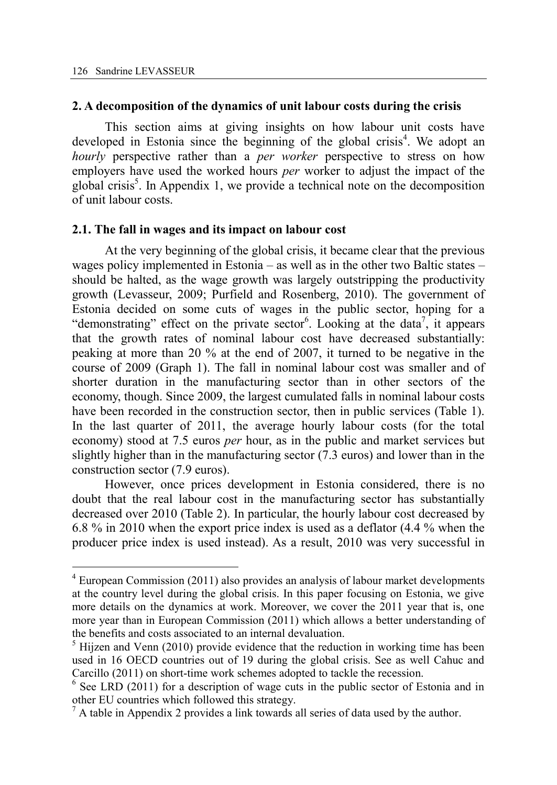#### **2. A decomposition of the dynamics of unit labour costs during the crisis**

This section aims at giving insights on how labour unit costs have developed in Estonia since the beginning of the global crisis<sup>4</sup>. We adopt an *hourly* perspective rather than a *per worker* perspective to stress on how employers have used the worked hours *per* worker to adjust the impact of the global crisis<sup>5</sup>. In Appendix 1, we provide a technical note on the decomposition of unit labour costs.

#### **2.1. The fall in wages and its impact on labour cost**

At the very beginning of the global crisis, it became clear that the previous wages policy implemented in Estonia – as well as in the other two Baltic states – should be halted, as the wage growth was largely outstripping the productivity growth (Levasseur, 2009; Purfield and Rosenberg, 2010). The government of Estonia decided on some cuts of wages in the public sector, hoping for a "demonstrating" effect on the private sector<sup>6</sup>. Looking at the data<sup>7</sup>, it appears that the growth rates of nominal labour cost have decreased substantially: peaking at more than 20 % at the end of 2007, it turned to be negative in the course of 2009 (Graph 1). The fall in nominal labour cost was smaller and of shorter duration in the manufacturing sector than in other sectors of the economy, though. Since 2009, the largest cumulated falls in nominal labour costs have been recorded in the construction sector, then in public services (Table 1). In the last quarter of 2011, the average hourly labour costs (for the total economy) stood at 7.5 euros *per* hour, as in the public and market services but slightly higher than in the manufacturing sector (7.3 euros) and lower than in the construction sector (7.9 euros).

However, once prices development in Estonia considered, there is no doubt that the real labour cost in the manufacturing sector has substantially decreased over 2010 (Table 2). In particular, the hourly labour cost decreased by 6.8 % in 2010 when the export price index is used as a deflator (4.4 % when the producer price index is used instead). As a result, 2010 was very successful in

<sup>&</sup>lt;sup>4</sup> European Commission (2011) also provides an analysis of labour market developments at the country level during the global crisis. In this paper focusing on Estonia, we give more details on the dynamics at work. Moreover, we cover the 2011 year that is, one more year than in European Commission (2011) which allows a better understanding of the benefits and costs associated to an internal devaluation.

 $<sup>5</sup>$  Hijzen and Venn (2010) provide evidence that the reduction in working time has been</sup> used in 16 OECD countries out of 19 during the global crisis. See as well Cahuc and Carcillo (2011) on short-time work schemes adopted to tackle the recession.

<sup>&</sup>lt;sup>6</sup> See LRD (2011) for a description of wage cuts in the public sector of Estonia and in other EU countries which followed this strategy.

 $<sup>7</sup>$  A table in Appendix 2 provides a link towards all series of data used by the author.</sup>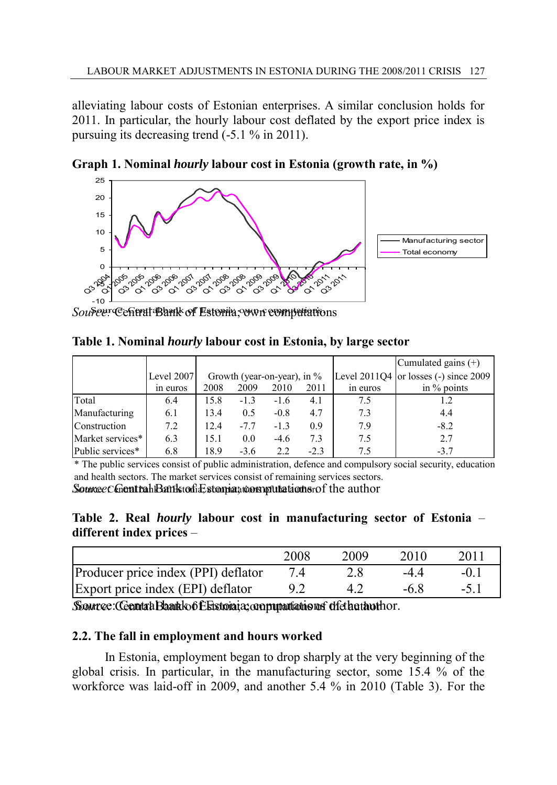alleviating labour costs of Estonian enterprises. A similar conclusion holds for 2011. In particular, the hourly labour cost deflated by the export price index is pursuing its decreasing trend (-5.1 % in 2011).



**Graph 1. Nominal** *hourly* **labour cost in Estonia (growth rate, in %)** 

Source: Central Bank of Estonia; own computations

**Table 1. Nominal** *hourly* **labour cost in Estonia, by large sector** 

| Table 1. Nominal <i>hourly</i> labour cost in Estonia, by large sector                                    |            |                                |        |        |        |          |                                           |  |  |  |
|-----------------------------------------------------------------------------------------------------------|------------|--------------------------------|--------|--------|--------|----------|-------------------------------------------|--|--|--|
|                                                                                                           |            |                                |        |        |        |          | Cumulated gains $(+)$                     |  |  |  |
|                                                                                                           | Level 2007 | Growth (year-on-year), in $\%$ |        |        |        |          | Level $2011Q4$ or losses (-) since $2009$ |  |  |  |
|                                                                                                           | in euros   | 2008                           | 2009   | 2010   | 2011   | in euros | in $\%$ points                            |  |  |  |
| Total                                                                                                     | 6.4        | 15.8                           | $-1.3$ | $-1.6$ | 4.1    | 7.5      | 1.2                                       |  |  |  |
| Manufacturing                                                                                             | 6.1        | 13.4                           | 0.5    | $-0.8$ | 4.7    | 7.3      | 4.4                                       |  |  |  |
| Construction                                                                                              | 7.2        | 12.4                           | $-7.7$ | $-1.3$ | 0.9    | 7.9      | $-8.2$                                    |  |  |  |
| Market services*                                                                                          | 6.3        | 15.1                           | 0.0    | $-4.6$ | 7.3    | 7.5      | 2.7                                       |  |  |  |
| Public services*                                                                                          | 6.8        | 18.9                           | $-3.6$ | 2.2    | $-2.3$ | 7.5      | $-3.7$                                    |  |  |  |
| * The public services consist of public administration, defence and compulsory social security, education |            |                                |        |        |        |          |                                           |  |  |  |

and health sectors. The market services consist of remaining services sectors.

Source: Contrah Bank to fice stomia; computations of the author

**different index prices** –

| Table 2. Real <i>hourly</i> labour cost in manufacturing sector of Estonia –<br>different index prices - |      |      |        |       |  |  |  |  |
|----------------------------------------------------------------------------------------------------------|------|------|--------|-------|--|--|--|--|
|                                                                                                          | 2008 | 2009 | 2010   | 2011  |  |  |  |  |
| Producer price index (PPI) deflator                                                                      | 74   | 2.8  | $-44$  | $-01$ |  |  |  |  |
| Export price index (EPI) deflator                                                                        | 92   | 42   | $-6.8$ | $-51$ |  |  |  |  |
| Source: Cenntah Bankko f Elstoiaia; communitations disturbathor.                                         |      |      |        |       |  |  |  |  |

# **2.2. The fall in employment and hours worked**

In Estonia, employment began to drop sharply at the very beginning of the global crisis. In particular, in the manufacturing sector, some 15.4 % of the workforce was laid-off in 2009, and another 5.4 % in 2010 (Table 3). For the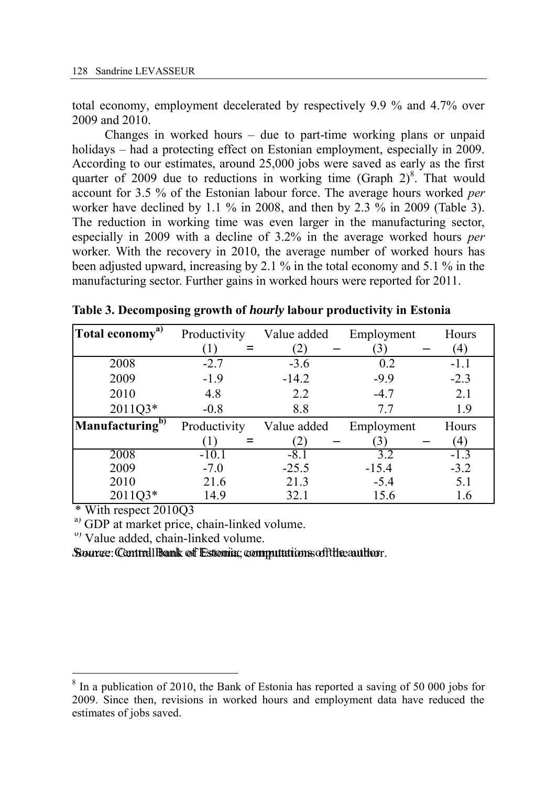total economy, employment decelerated by respectively 9.9 % and 4.7% over 2009 and 2010.

Changes in worked hours – due to part-time working plans or unpaid holidays – had a protecting effect on Estonian employment, especially in 2009. According to our estimates, around 25,000 jobs were saved as early as the first quarter of 2009 due to reductions in working time (Graph  $2)^8$ . That would account for 3.5 % of the Estonian labour force. The average hours worked *per* worker have declined by 1.1 % in 2008, and then by 2.3 % in 2009 (Table 3). The reduction in working time was even larger in the manufacturing sector, especially in 2009 with a decline of 3.2% in the average worked hours *per* worker. With the recovery in 2010, the average number of worked hours has been adjusted upward, increasing by 2.1 % in the total economy and 5.1 % in the manufacturing sector. Further gains in worked hours were reported for 2011.

| Total economy <sup>a)</sup> | Productivity | Value added | Employment | Hours  |
|-----------------------------|--------------|-------------|------------|--------|
|                             | (1)          | (2)         | 3)         | (4)    |
| 2008                        | $-2.7$       | $-3.6$      | 0.2        | $-1.1$ |
| 2009                        | $-1.9$       | $-14.2$     | $-9.9$     | $-2.3$ |
| 2010                        | 4.8          | 2.2         | $-4.7$     | 2.1    |
| 2011Q3*                     | $-0.8$       | 8.8         | 7.7        | 1.9    |
| Manufacturing <sup>b)</sup> | Productivity | Value added | Employment | Hours  |
|                             | (1)          | (2)         | 3)         | (4)    |
| 2008                        | $-10.1$      | $-8.1$      | 3.2        | $-1.3$ |
| 2009                        | $-7.0$       | $-25.5$     | $-15.4$    | $-3.2$ |
| 2010                        | 21.6         | 21.3        | $-5.4$     | 5.1    |
| 2011Q3*                     | 14.9         | 32.1        | 15.6       | 1.6    |

**Table 3. Decomposing growth of** *hourly* **labour productivity in Estonia** 

\* With respect 2010Q3

<sup>a)</sup> GDP at market price, chain-linked volume.

 $b)$  Value added, chain-linked volume.

Source: Central bank of Estonia; computations of the author. *Source:* Central Bank of Estonia; computations of the author

<sup>&</sup>lt;sup>8</sup> In a publication of 2010, the Bank of Estonia has reported a saving of 50 000 jobs for 2009. Since then, revisions in worked hours and employment data have reduced the estimates of jobs saved.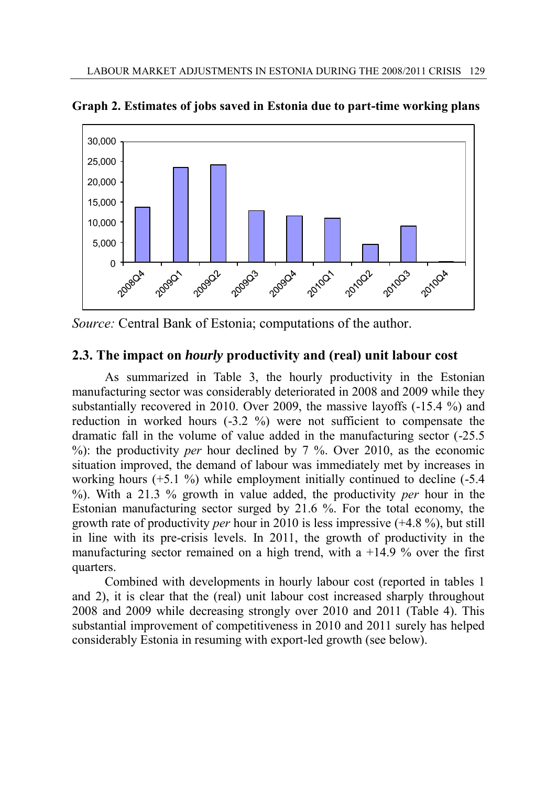

**Graph 2. Estimates of jobs saved in Estonia due to part-time working plans** 

*Source:* Central Bank of Estonia; computations of the author.

# **2.3. The impact on** *hourly* **productivity and (real) unit labour cost**

As summarized in Table 3, the hourly productivity in the Estonian manufacturing sector was considerably deteriorated in 2008 and 2009 while they substantially recovered in 2010. Over 2009, the massive layoffs (-15.4 %) and reduction in worked hours (-3.2 %) were not sufficient to compensate the dramatic fall in the volume of value added in the manufacturing sector (-25.5 %): the productivity *per* hour declined by 7 %. Over 2010, as the economic situation improved, the demand of labour was immediately met by increases in working hours (+5.1 %) while employment initially continued to decline (-5.4 %). With a 21.3 % growth in value added, the productivity *per* hour in the Estonian manufacturing sector surged by 21.6 %. For the total economy, the growth rate of productivity *per* hour in 2010 is less impressive (+4.8 %), but still in line with its pre-crisis levels. In 2011, the growth of productivity in the manufacturing sector remained on a high trend, with a  $+14.9$  % over the first quarters.

Combined with developments in hourly labour cost (reported in tables 1 and 2), it is clear that the (real) unit labour cost increased sharply throughout 2008 and 2009 while decreasing strongly over 2010 and 2011 (Table 4). This substantial improvement of competitiveness in 2010 and 2011 surely has helped considerably Estonia in resuming with export-led growth (see below).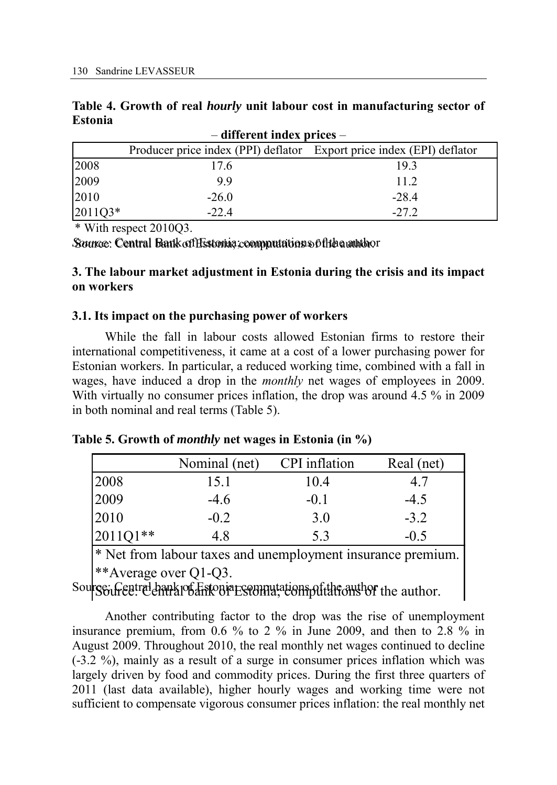|         |  |  |  | Table 4. Growth of real <i>hourly</i> unit labour cost in manufacturing sector of |  |
|---------|--|--|--|-----------------------------------------------------------------------------------|--|
| Estonia |  |  |  |                                                                                   |  |

| Table 4. Growth of real <i>hourly</i> unit labour cost in manufacturing sector of<br><b>Estonia</b> |                                                                       |         |  |  |  |  |  |  |  |
|-----------------------------------------------------------------------------------------------------|-----------------------------------------------------------------------|---------|--|--|--|--|--|--|--|
| $-$ different index prices $-$                                                                      |                                                                       |         |  |  |  |  |  |  |  |
|                                                                                                     | Producer price index (PPI) deflator Export price index (EPI) deflator |         |  |  |  |  |  |  |  |
| 2008                                                                                                | 17.6                                                                  | 193     |  |  |  |  |  |  |  |
| 2009                                                                                                | 99                                                                    | 11.2    |  |  |  |  |  |  |  |
| 2010                                                                                                | $-26.0$                                                               | $-28.4$ |  |  |  |  |  |  |  |
| 2011Q3*                                                                                             | $-22.4$                                                               | $-27.2$ |  |  |  |  |  |  |  |

\* With respect 2010Q3.

*Source*: Central Bank of Estonia; computations of fhe a author

## **3. The labour market adjustment in Estonia during the crisis and its impact on workers**

## **3.1. Its impact on the purchasing power of workers**

While the fall in labour costs allowed Estonian firms to restore their international competitiveness, it came at a cost of a lower purchasing power for Estonian workers. In particular, a reduced working time, combined with a fall in wages, have induced a drop in the *monthly* net wages of employees in 2009. With virtually no consumer prices inflation, the drop was around 4.5 % in 2009 in both nominal and real terms (Table 5).

|  |  |  | Table 5. Growth of <i>monthly</i> net wages in Estonia (in %) |  |  |  |  |
|--|--|--|---------------------------------------------------------------|--|--|--|--|
|  |  |  |                                                               |  |  |  |  |

|          | Nominal (net) | CPI inflation | Real (net) |
|----------|---------------|---------------|------------|
| 2008     | 15.1          | 10.4          | 4.7        |
| 2009     | $-4.6$        | $-0.1$        | $-4.5$     |
| 2010     | $-0.2$        | 3.0           | $-3.2$     |
| 2011Q1** | 4.8           | 5.3           | $-0.5$     |

\* Net from labour taxes and unemployment insurance premium. \*\*Average over Q1-Q3.

Sourge: Gentral bank of Estonia Estonia; computations of the author.

Another contributing factor to the drop was the rise of unemployment insurance premium, from 0.6 % to 2 % in June 2009, and then to 2.8 % in August 2009. Throughout 2010, the real monthly net wages continued to decline (-3.2 %), mainly as a result of a surge in consumer prices inflation which was largely driven by food and commodity prices. During the first three quarters of 2011 (last data available), higher hourly wages and working time were not sufficient to compensate vigorous consumer prices inflation: the real monthly net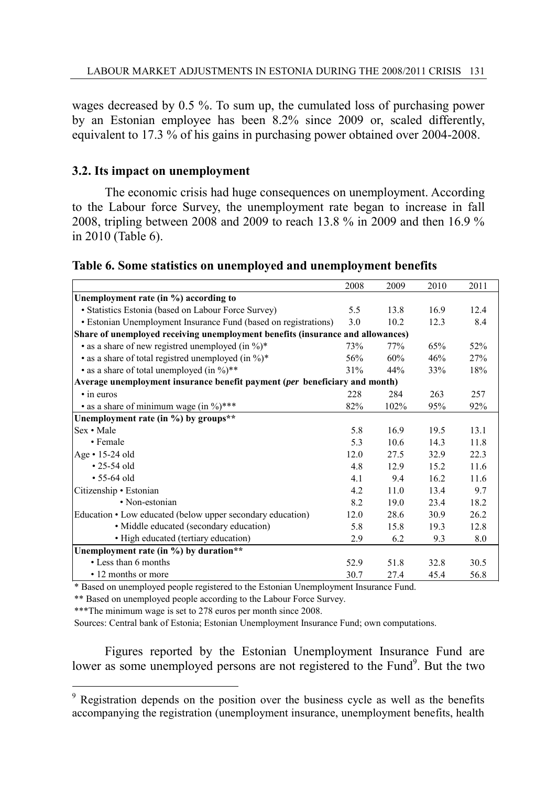wages decreased by 0.5 %. To sum up, the cumulated loss of purchasing power by an Estonian employee has been 8.2% since 2009 or, scaled differently, equivalent to 17.3 % of his gains in purchasing power obtained over 2004-2008.

## **3.2. Its impact on unemployment**

The economic crisis had huge consequences on unemployment. According to the Labour force Survey, the unemployment rate began to increase in fall 2008, tripling between 2008 and 2009 to reach 13.8 % in 2009 and then 16.9 % in 2010 (Table 6).

| Table 6. Some statistics on unemployed and unemployment benefits |  |
|------------------------------------------------------------------|--|
|------------------------------------------------------------------|--|

|                                                                                | 2008 | 2009 | 2010 | 2011 |
|--------------------------------------------------------------------------------|------|------|------|------|
| Unemployment rate (in %) according to                                          |      |      |      |      |
| • Statistics Estonia (based on Labour Force Survey)                            | 5.5  | 13.8 | 16.9 | 12.4 |
| • Estonian Unemployment Insurance Fund (based on registrations)                | 3.0  | 10.2 | 12.3 | 8.4  |
| Share of unemployed receiving unemployment benefits (insurance and allowances) |      |      |      |      |
| • as a share of new registred unemployed (in $\%$ )*                           | 73%  | 77%  | 65%  | 52%  |
| • as a share of total registred unemployed (in %)*                             | 56%  | 60%  | 46%  | 27%  |
| • as a share of total unemployed (in %)**                                      | 31%  | 44%  | 33%  | 18%  |
| Average unemployment insurance benefit payment (per beneficiary and month)     |      |      |      |      |
| • in euros                                                                     | 228  | 284  | 263  | 257  |
| • as a share of minimum wage (in %)***                                         | 82%  | 102% | 95%  | 92%  |
| Unemployment rate (in %) by groups**                                           |      |      |      |      |
| Sex · Male                                                                     | 5.8  | 16.9 | 19.5 | 13.1 |
| • Female                                                                       | 5.3  | 10.6 | 14.3 | 11.8 |
| Age • 15-24 old                                                                | 12.0 | 27.5 | 32.9 | 22.3 |
| $\cdot$ 25-54 old                                                              | 4.8  | 12.9 | 15.2 | 11.6 |
| $• 55-64$ old                                                                  | 4.1  | 9.4  | 16.2 | 11.6 |
| Citizenship • Estonian                                                         | 4.2  | 11.0 | 13.4 | 9.7  |
| • Non-estonian                                                                 | 8.2  | 19.0 | 23.4 | 18.2 |
| Education • Low educated (below upper secondary education)                     | 12.0 | 28.6 | 30.9 | 26.2 |
| • Middle educated (secondary education)                                        | 5.8  | 15.8 | 19.3 | 12.8 |
| • High educated (tertiary education)                                           | 2.9  | 6.2  | 9.3  | 8.0  |
| Unemployment rate (in %) by duration**                                         |      |      |      |      |
| • Less than 6 months                                                           | 52.9 | 51.8 | 32.8 | 30.5 |
| • 12 months or more                                                            | 30.7 | 27.4 | 45.4 | 56.8 |

\*\* Based on unemployed people according to the Labour Force Survey.

\*\*\*The minimum wage is set to 278 euros per month since 2008.

 $\overline{a}$ 

Sources: Central bank of Estonia; Estonian Unemployment Insurance Fund; own computations.

Figures reported by the Estonian Unemployment Insurance Fund are lower as some unemployed persons are not registered to the Fund<sup>9</sup>. But the two

<sup>&</sup>lt;sup>9</sup> Registration depends on the position over the business cycle as well as the benefits accompanying the registration (unemployment insurance, unemployment benefits, health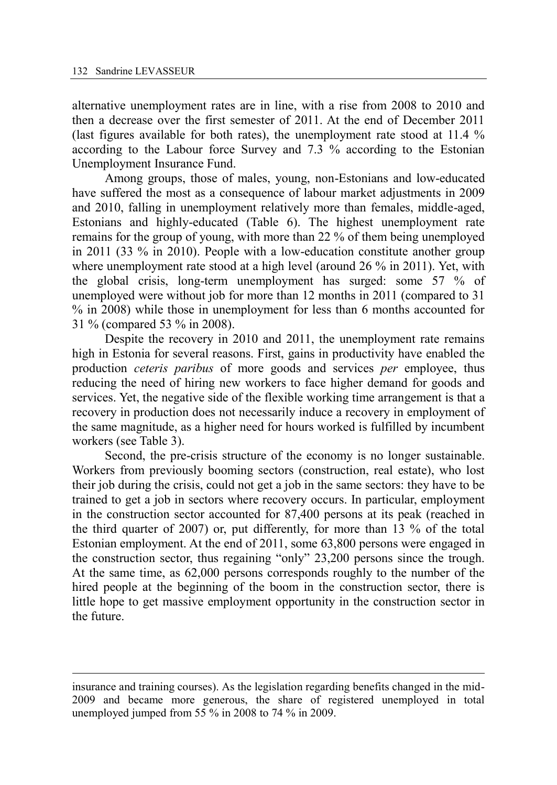alternative unemployment rates are in line, with a rise from 2008 to 2010 and then a decrease over the first semester of 2011. At the end of December 2011 (last figures available for both rates), the unemployment rate stood at 11.4 % according to the Labour force Survey and 7.3 % according to the Estonian Unemployment Insurance Fund.

Among groups, those of males, young, non-Estonians and low-educated have suffered the most as a consequence of labour market adjustments in 2009 and 2010, falling in unemployment relatively more than females, middle-aged, Estonians and highly-educated (Table 6). The highest unemployment rate remains for the group of young, with more than 22 % of them being unemployed in 2011 (33 % in 2010). People with a low-education constitute another group where unemployment rate stood at a high level (around 26 % in 2011). Yet, with the global crisis, long-term unemployment has surged: some 57 % of unemployed were without job for more than 12 months in 2011 (compared to 31 % in 2008) while those in unemployment for less than 6 months accounted for 31 % (compared 53 % in 2008).

Despite the recovery in 2010 and 2011, the unemployment rate remains high in Estonia for several reasons. First, gains in productivity have enabled the production *ceteris paribus* of more goods and services *per* employee, thus reducing the need of hiring new workers to face higher demand for goods and services. Yet, the negative side of the flexible working time arrangement is that a recovery in production does not necessarily induce a recovery in employment of the same magnitude, as a higher need for hours worked is fulfilled by incumbent workers (see Table 3).

Second, the pre-crisis structure of the economy is no longer sustainable. Workers from previously booming sectors (construction, real estate), who lost their job during the crisis, could not get a job in the same sectors: they have to be trained to get a job in sectors where recovery occurs. In particular, employment in the construction sector accounted for 87,400 persons at its peak (reached in the third quarter of 2007) or, put differently, for more than 13 % of the total Estonian employment. At the end of 2011, some 63,800 persons were engaged in the construction sector, thus regaining "only" 23,200 persons since the trough. At the same time, as 62,000 persons corresponds roughly to the number of the hired people at the beginning of the boom in the construction sector, there is little hope to get massive employment opportunity in the construction sector in the future.

insurance and training courses). As the legislation regarding benefits changed in the mid-2009 and became more generous, the share of registered unemployed in total unemployed jumped from 55 % in 2008 to 74 % in 2009.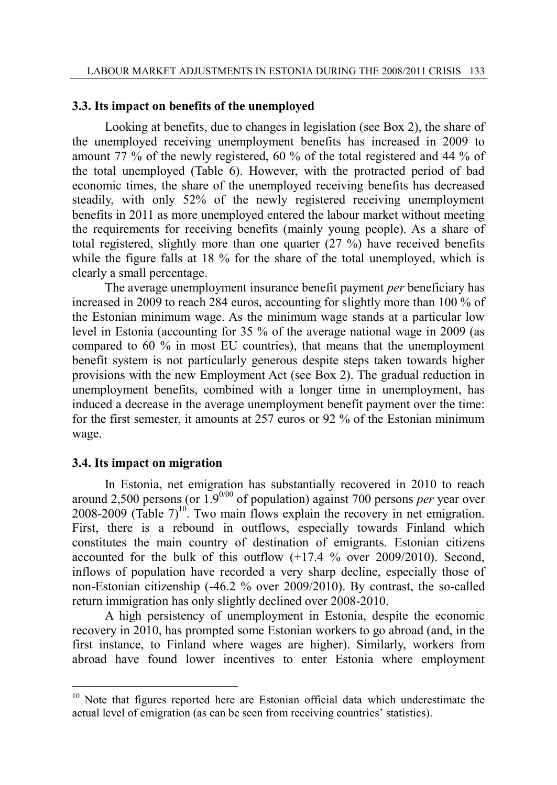## **3.3. Its impact on benefits of the unemployed**

Looking at benefits, due to changes in legislation (see Box 2), the share of the unemployed receiving unemployment benefits has increased in 2009 to amount 77 % of the newly registered, 60 % of the total registered and 44 % of the total unemployed (Table 6). However, with the protracted period of bad economic times, the share of the unemployed receiving benefits has decreased steadily, with only 52% of the newly registered receiving unemployment benefits in 2011 as more unemployed entered the labour market without meeting the requirements for receiving benefits (mainly young people). As a share of total registered, slightly more than one quarter (27 %) have received benefits while the figure falls at 18 % for the share of the total unemployed, which is clearly a small percentage.

The average unemployment insurance benefit payment *per* beneficiary has increased in 2009 to reach 284 euros, accounting for slightly more than 100 % of the Estonian minimum wage. As the minimum wage stands at a particular low level in Estonia (accounting for 35 % of the average national wage in 2009 (as compared to 60 % in most EU countries), that means that the unemployment benefit system is not particularly generous despite steps taken towards higher provisions with the new Employment Act (see Box 2). The gradual reduction in unemployment benefits, combined with a longer time in unemployment, has induced a decrease in the average unemployment benefit payment over the time: for the first semester, it amounts at 257 euros or 92 % of the Estonian minimum wage.

## **3.4. Its impact on migration**

 $\overline{a}$ 

In Estonia, net emigration has substantially recovered in 2010 to reach around 2,500 persons (or 1.90/00 of population) against 700 persons *per* year over 2008-2009 (Table  $7)^{10}$ . Two main flows explain the recovery in net emigration. First, there is a rebound in outflows, especially towards Finland which constitutes the main country of destination of emigrants. Estonian citizens accounted for the bulk of this outflow (+17.4 % over 2009/2010). Second, inflows of population have recorded a very sharp decline, especially those of non-Estonian citizenship (-46.2 % over 2009/2010). By contrast, the so-called return immigration has only slightly declined over 2008-2010.

A high persistency of unemployment in Estonia, despite the economic recovery in 2010, has prompted some Estonian workers to go abroad (and, in the first instance, to Finland where wages are higher). Similarly, workers from abroad have found lower incentives to enter Estonia where employment

<sup>&</sup>lt;sup>10</sup> Note that figures reported here are Estonian official data which underestimate the actual level of emigration (as can be seen from receiving countries' statistics).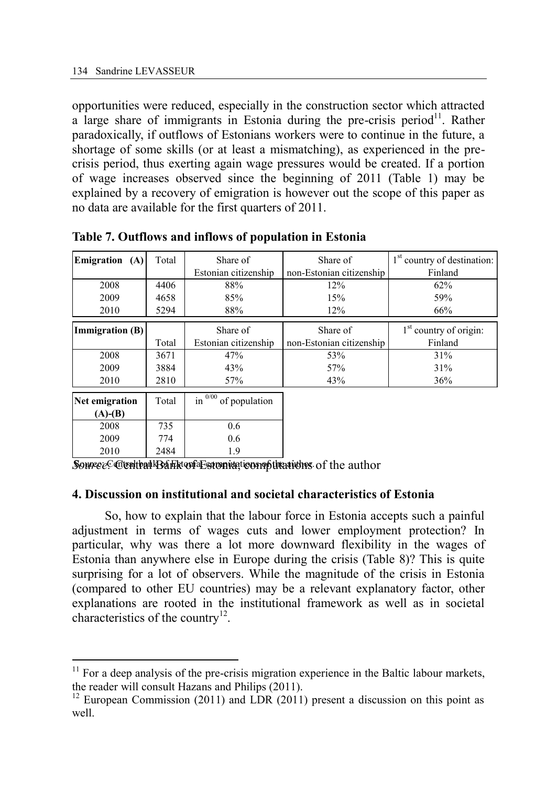opportunities were reduced, especially in the construction sector which attracted a large share of immigrants in Estonia during the pre-crisis period<sup>11</sup>. Rather paradoxically, if outflows of Estonians workers were to continue in the future, a shortage of some skills (or at least a mismatching), as experienced in the precrisis period, thus exerting again wage pressures would be created. If a portion of wage increases observed since the beginning of 2011 (Table 1) may be explained by a recovery of emigration is however out the scope of this paper as no data are available for the first quarters of 2011.

| Emigration (A)<br>Total |       | Share of                    | Share of                 | 1 <sup>st</sup> country of destination: |  |
|-------------------------|-------|-----------------------------|--------------------------|-----------------------------------------|--|
|                         |       | Estonian citizenship        | non-Estonian citizenship | Finland                                 |  |
| 2008                    | 4406  | 88%                         | 12%                      | 62%                                     |  |
| 2009<br>4658            |       | 85%                         | 15%                      | 59%                                     |  |
| 2010<br>5294            |       | 88%                         | 12%                      | 66%                                     |  |
| <b>Immigration</b> (B)  |       | Share of                    | Share of                 | $1st$ country of origin:                |  |
|                         | Total | Estonian citizenship        | non-Estonian citizenship | Finland                                 |  |
| 2008                    | 3671  | 47%                         | 53%                      | 31%                                     |  |
| 2009<br>3884            |       | 43%                         | 57%                      | 31%                                     |  |
| 2010<br>2810            |       | 57%                         | 43%                      | 36%                                     |  |
| Net emigration          | Total | 0/00<br>in<br>of population |                          |                                         |  |
| $(A)$ - $(B)$           |       |                             |                          |                                         |  |
| 2008                    | 735   | 0.6                         |                          |                                         |  |
| 2009                    | 774   | 0.6                         |                          |                                         |  |
| 2010                    | 2484  | 1.9                         |                          |                                         |  |

**Table 7. Outflows and inflows of population in Estonia** 

## **4. Discussion on institutional and societal characteristics of Estonia**

So, how to explain that the labour force in Estonia accepts such a painful adjustment in terms of wages cuts and lower employment protection? In particular, why was there a lot more downward flexibility in the wages of Estonia than anywhere else in Europe during the crisis (Table 8)? This is quite surprising for a lot of observers. While the magnitude of the crisis in Estonia (compared to other EU countries) may be a relevant explanatory factor, other explanations are rooted in the institutional framework as well as in societal characteristics of the country<sup>12</sup>.

 $11$  For a deep analysis of the pre-crisis migration experience in the Baltic labour markets, the reader will consult Hazans and Philips (2011).

 $12$  European Commission (2011) and LDR (2011) present a discussion on this point as well.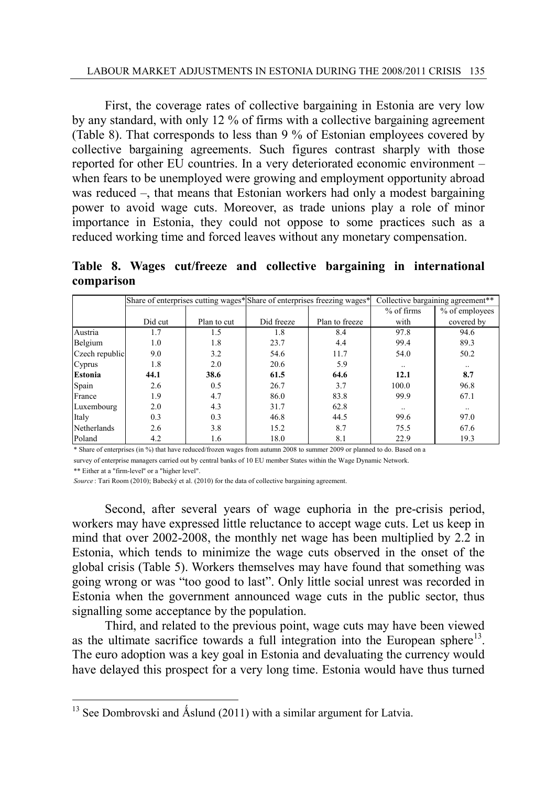First, the coverage rates of collective bargaining in Estonia are very low by any standard, with only 12 % of firms with a collective bargaining agreement (Table 8). That corresponds to less than 9 % of Estonian employees covered by collective bargaining agreements. Such figures contrast sharply with those reported for other EU countries. In a very deteriorated economic environment – when fears to be unemployed were growing and employment opportunity abroad was reduced –, that means that Estonian workers had only a modest bargaining power to avoid wage cuts. Moreover, as trade unions play a role of minor importance in Estonia, they could not oppose to some practices such as a reduced working time and forced leaves without any monetary compensation.

**comparison**

|                | Collective bargaining agreement**<br>Share of enterprises cutting wages* Share of enterprises freezing wages* |             |            |                |            |                |  |  |  |
|----------------|---------------------------------------------------------------------------------------------------------------|-------------|------------|----------------|------------|----------------|--|--|--|
|                |                                                                                                               |             |            |                | % of firms | % of employees |  |  |  |
|                | Did cut                                                                                                       | Plan to cut | Did freeze | Plan to freeze | with       | covered by     |  |  |  |
| Austria        | 1.7                                                                                                           | 1.5         | 1.8        | 8.4            | 97.8       | 94.6           |  |  |  |
| Belgium        | 1.0                                                                                                           | 1.8         | 23.7       | 4.4            | 99.4       | 89.3           |  |  |  |
| Czech republic | 9.0                                                                                                           | 3.2         | 54.6       | 11.7           | 54.0       | 50.2           |  |  |  |
| Cyprus         | 1.8                                                                                                           | 2.0         | 20.6       | 5.9            | $\ldots$   | $\cdot$ .      |  |  |  |
| <b>Estonia</b> | 44.1                                                                                                          | 38.6        | 61.5       | 64.6           | 12.1       | 8.7            |  |  |  |
| Spain          | 2.6                                                                                                           | 0.5         | 26.7       | 3.7            | 100.0      | 96.8           |  |  |  |
| France         | 1.9                                                                                                           | 4.7         | 86.0       | 83.8           | 99.9       | 67.1           |  |  |  |
| Luxembourg     | 2.0                                                                                                           | 4.3         | 31.7       | 62.8           | $\ddotsc$  | $\cdot$ .      |  |  |  |
| Italy          | 0.3                                                                                                           | 0.3         | 46.8       | 44.5           | 99.6       | 97.0           |  |  |  |
| Netherlands    | 2.6                                                                                                           | 3.8         | 15.2       | 8.7            | 75.5       | 67.6           |  |  |  |
| Poland         | 4.2                                                                                                           | 1.6         | 18.0       | 8.1            | 22.9       | 19.3           |  |  |  |

\* Share of enterprises (in %) that have reduced/frozen wages from autumn 2008 to summer 2009 or planned to do. Based on a

survey of enterprise managers carried out by central banks of 10 EU member States within the Wage Dynamic Network.

\*\* Either at a "firm-level'' or a "higher level".

 $\overline{a}$ 

*Source* : Tari Room (2010); Babecký et al. (2010) for the data of collective bargaining agreement.

Second, after several years of wage euphoria in the pre-crisis period, workers may have expressed little reluctance to accept wage cuts. Let us keep in mind that over 2002-2008, the monthly net wage has been multiplied by 2.2 in Estonia, which tends to minimize the wage cuts observed in the onset of the global crisis (Table 5). Workers themselves may have found that something was going wrong or was "too good to last". Only little social unrest was recorded in Estonia when the government announced wage cuts in the public sector, thus signalling some acceptance by the population.

Third, and related to the previous point, wage cuts may have been viewed as the ultimate sacrifice towards a full integration into the European sphere $^{13}$ . The euro adoption was a key goal in Estonia and devaluating the currency would have delayed this prospect for a very long time. Estonia would have thus turned

<sup>&</sup>lt;sup>13</sup> See Dombrovski and Åslund (2011) with a similar argument for Latvia.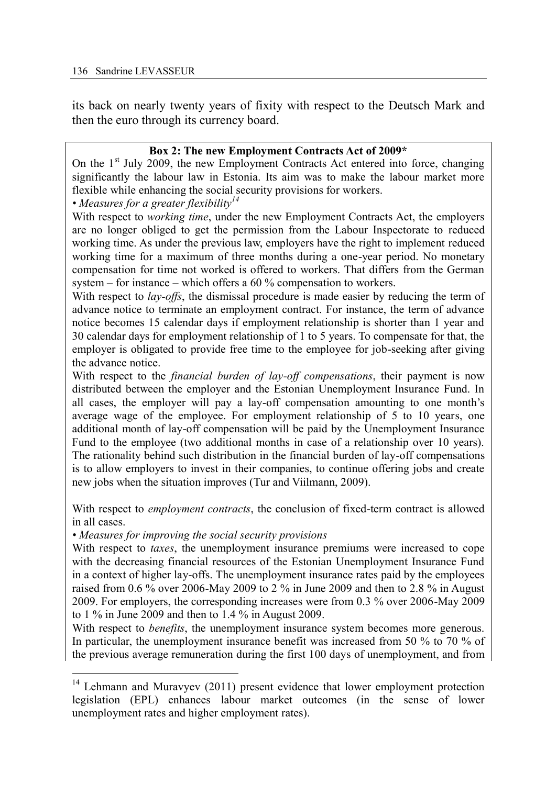its back on nearly twenty years of fixity with respect to the Deutsch Mark and then the euro through its currency board.

## **Box 2: The new Employment Contracts Act of 2009\***

On the  $1<sup>st</sup>$  July 2009, the new Employment Contracts Act entered into force, changing significantly the labour law in Estonia. Its aim was to make the labour market more flexible while enhancing the social security provisions for workers.

*• Measures for a greater flexibility<sup>14</sup>*

With respect to *working time*, under the new Employment Contracts Act, the employers are no longer obliged to get the permission from the Labour Inspectorate to reduced working time. As under the previous law, employers have the right to implement reduced working time for a maximum of three months during a one-year period. No monetary compensation for time not worked is offered to workers. That differs from the German system – for instance – which offers a 60 % compensation to workers.

With respect to *lay-offs*, the dismissal procedure is made easier by reducing the term of advance notice to terminate an employment contract. For instance, the term of advance notice becomes 15 calendar days if employment relationship is shorter than 1 year and 30 calendar days for employment relationship of 1 to 5 years. To compensate for that, the employer is obligated to provide free time to the employee for job-seeking after giving the advance notice.

With respect to the *financial burden of lay-off compensations*, their payment is now distributed between the employer and the Estonian Unemployment Insurance Fund. In all cases, the employer will pay a lay-off compensation amounting to one month's average wage of the employee. For employment relationship of 5 to 10 years, one additional month of lay-off compensation will be paid by the Unemployment Insurance Fund to the employee (two additional months in case of a relationship over 10 years). The rationality behind such distribution in the financial burden of lay-off compensations is to allow employers to invest in their companies, to continue offering jobs and create new jobs when the situation improves (Tur and Viilmann, 2009).

With respect to *employment contracts*, the conclusion of fixed-term contract is allowed in all cases.

*• Measures for improving the social security provisions* 

With respect to *taxes*, the unemployment insurance premiums were increased to cope with the decreasing financial resources of the Estonian Unemployment Insurance Fund in a context of higher lay-offs. The unemployment insurance rates paid by the employees raised from 0.6 % over 2006-May 2009 to 2 % in June 2009 and then to 2.8 % in August 2009. For employers, the corresponding increases were from 0.3 % over 2006-May 2009 to 1 % in June 2009 and then to 1.4 % in August 2009.

With respect to *benefits*, the unemployment insurance system becomes more generous. In particular, the unemployment insurance benefit was increased from 50 % to 70 % of the previous average remuneration during the first 100 days of unemployment, and from

 $\overline{a}$ <sup>14</sup> Lehmann and Muravyev (2011) present evidence that lower employment protection legislation (EPL) enhances labour market outcomes (in the sense of lower unemployment rates and higher employment rates).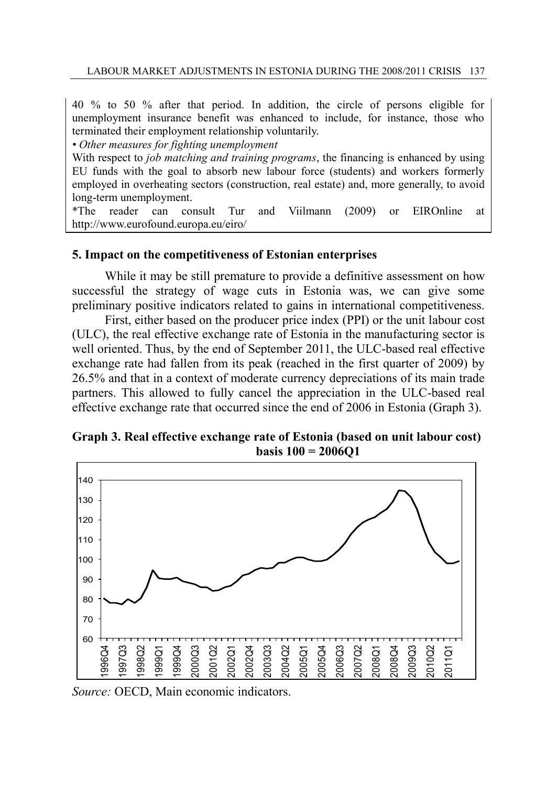40 % to 50 % after that period. In addition, the circle of persons eligible for unemployment insurance benefit was enhanced to include, for instance, those who terminated their employment relationship voluntarily.

*• Other measures for fighting unemployment* 

With respect to *job matching and training programs*, the financing is enhanced by using EU funds with the goal to absorb new labour force (students) and workers formerly employed in overheating sectors (construction, real estate) and, more generally, to avoid long-term unemployment.

\*The reader can consult Tur and Viilmann (2009) or EIROnline at http://www.eurofound.europa.eu/eiro/

## **5. Impact on the competitiveness of Estonian enterprises**

 While it may be still premature to provide a definitive assessment on how successful the strategy of wage cuts in Estonia was, we can give some preliminary positive indicators related to gains in international competitiveness.

 First, either based on the producer price index (PPI) or the unit labour cost (ULC), the real effective exchange rate of Estonia in the manufacturing sector is well oriented. Thus, by the end of September 2011, the ULC-based real effective exchange rate had fallen from its peak (reached in the first quarter of 2009) by 26.5% and that in a context of moderate currency depreciations of its main trade partners. This allowed to fully cancel the appreciation in the ULC-based real effective exchange rate that occurred since the end of 2006 in Estonia (Graph 3).

# **Graph 3. Real effective exchange rate of Estonia (based on unit labour cost) basis 100 = 2006Q1**



*Source:* OECD, Main economic indicators.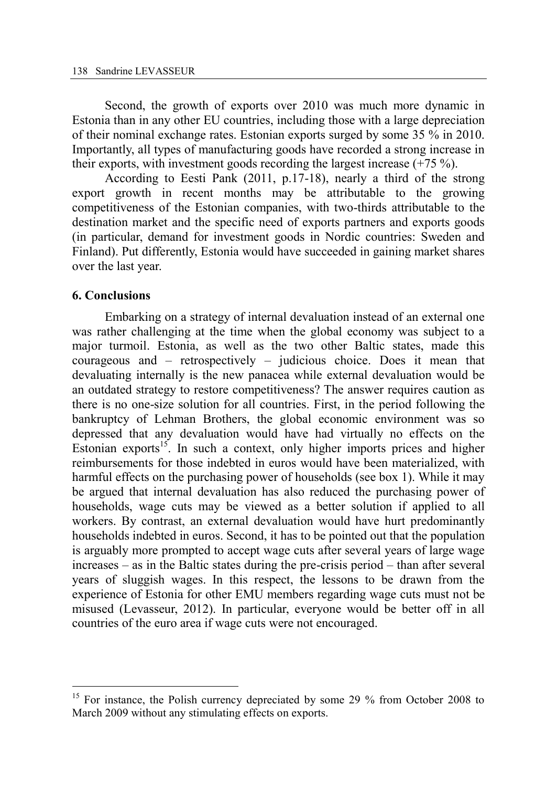Second, the growth of exports over 2010 was much more dynamic in Estonia than in any other EU countries, including those with a large depreciation of their nominal exchange rates. Estonian exports surged by some 35 % in 2010. Importantly, all types of manufacturing goods have recorded a strong increase in their exports, with investment goods recording the largest increase  $(+75\%)$ .

According to Eesti Pank (2011, p.17-18), nearly a third of the strong export growth in recent months may be attributable to the growing competitiveness of the Estonian companies, with two-thirds attributable to the destination market and the specific need of exports partners and exports goods (in particular, demand for investment goods in Nordic countries: Sweden and Finland). Put differently, Estonia would have succeeded in gaining market shares over the last year.

## **6. Conclusions**

 $\overline{a}$ 

Embarking on a strategy of internal devaluation instead of an external one was rather challenging at the time when the global economy was subject to a major turmoil. Estonia, as well as the two other Baltic states, made this courageous and – retrospectively – judicious choice. Does it mean that devaluating internally is the new panacea while external devaluation would be an outdated strategy to restore competitiveness? The answer requires caution as there is no one-size solution for all countries. First, in the period following the bankruptcy of Lehman Brothers, the global economic environment was so depressed that any devaluation would have had virtually no effects on the Estonian exports<sup>15</sup>. In such a context, only higher imports prices and higher reimbursements for those indebted in euros would have been materialized, with harmful effects on the purchasing power of households (see box 1). While it may be argued that internal devaluation has also reduced the purchasing power of households, wage cuts may be viewed as a better solution if applied to all workers. By contrast, an external devaluation would have hurt predominantly households indebted in euros. Second, it has to be pointed out that the population is arguably more prompted to accept wage cuts after several years of large wage increases – as in the Baltic states during the pre-crisis period – than after several years of sluggish wages. In this respect, the lessons to be drawn from the experience of Estonia for other EMU members regarding wage cuts must not be misused (Levasseur, 2012). In particular, everyone would be better off in all countries of the euro area if wage cuts were not encouraged.

<sup>&</sup>lt;sup>15</sup> For instance, the Polish currency depreciated by some 29 % from October 2008 to March 2009 without any stimulating effects on exports.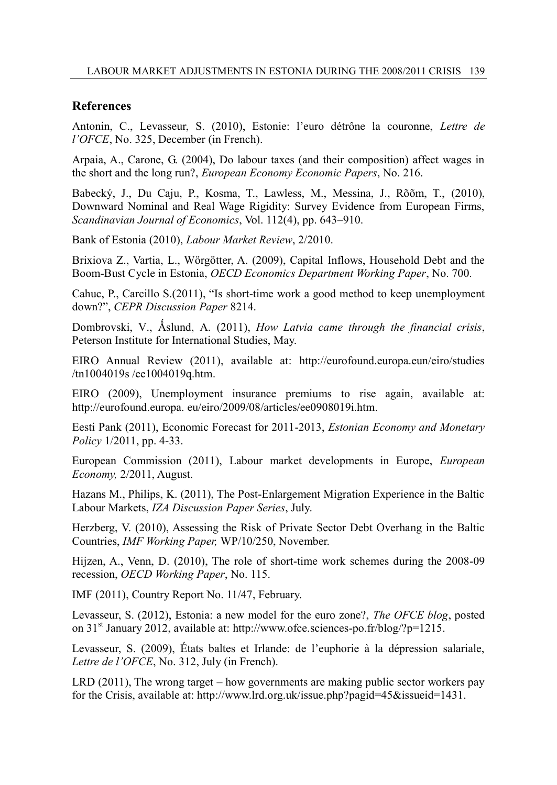#### **References**

Antonin, C., Levasseur, S. (2010), Estonie: l'euro détrône la couronne, *Lettre de l'OFCE*, No. 325, December (in French).

Arpaia, A., Carone, G. (2004), Do labour taxes (and their composition) affect wages in the short and the long run?, *European Economy Economic Papers*, No. 216.

Babecký, J., Du Caju, P., Kosma, T., Lawless, M., Messina, J., Rõõm, T., (2010), Downward Nominal and Real Wage Rigidity: Survey Evidence from European Firms, *Scandinavian Journal of Economics*, Vol. 112(4), pp. 643–910.

Bank of Estonia (2010), *Labour Market Review*, 2/2010.

Brixiova Z., Vartia, L., Wörgötter, A. (2009), Capital Inflows, Household Debt and the Boom-Bust Cycle in Estonia, *OECD Economics Department Working Paper*, No. 700.

Cahuc, P., Carcillo S.(2011), ["Is short-time work a good method to keep unemployment](http://www.cepr.org/pubs/new-dps/dplist.asp?dpno=8214)  [down?"](http://www.cepr.org/pubs/new-dps/dplist.asp?dpno=8214), *CEPR Discussion Paper* 8214.

Dombrovski, V., Åslund, A. (2011), *How Latvia came through the financial crisis*, Peterson Institute for International Studies, May.

EIRO Annual Review (2011), available at: http://eurofound.europa.eun/eiro/studies /tn1004019s /ee1004019q.htm.

EIRO (2009), Unemployment insurance premiums to rise again, available at: http://eurofound.europa. eu/eiro/2009/08/articles/ee0908019i.htm.

Eesti Pank (2011), Economic Forecast for 2011-2013, *Estonian Economy and Monetary Policy* 1/2011, pp. 4-33.

European Commission (2011), Labour market developments in Europe, *European Economy,* 2/2011, August.

Hazans M., Philips, K. (2011), The Post-Enlargement Migration Experience in the Baltic Labour Markets, *IZA Discussion Paper Series*, July.

Herzberg, V. (2010), Assessing the Risk of Private Sector Debt Overhang in the Baltic Countries, *IMF Working Paper,* WP/10/250, November.

Hijzen, A., Venn, D. (2010), [The role of short-time work schemes during the 2008-09](http://ideas.repec.org/p/oec/elsaab/115-en.html)  [recession,](http://ideas.repec.org/p/oec/elsaab/115-en.html) *OECD Working Paper*, No. 115.

IMF (2011), Country Report No. 11/47, February.

Levasseur, S. (2012), Estonia: a new model for the euro zone?, *The OFCE blog*, posted on 31<sup>st</sup> January 2012, available at: http://www.ofce.sciences-po.fr/blog/?p=1215.

Levasseur, S. (2009), États baltes et Irlande: de l'euphorie à la dépression salariale, *Lettre de l'OFCE*, No. 312, July (in French).

LRD (2011), The wrong target – how governments are making public sector workers pay for the Crisis, available at: http://www.lrd.org.uk/issue.php?pagid=45&issueid=1431.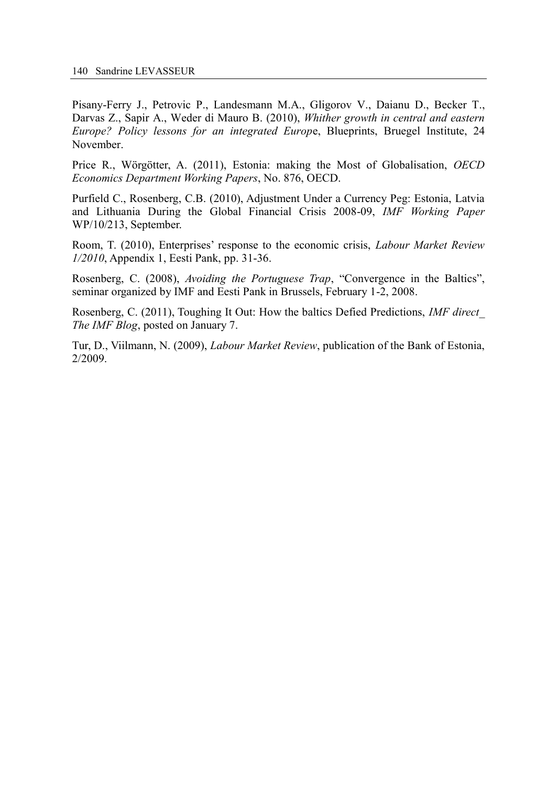Pisany-Ferry J., [Petrovic](http://www.bruegel.org/scholars/scholar-detail/scholar/155-pavle-petrovic/) P., [Landesmann](http://www.bruegel.org/scholars/scholar-detail/scholar/154-michael-a-landesmann/) M.A., [Gligorov](http://www.bruegel.org/scholars/scholar-detail/scholar/153-vladimir-gligorov/) V., [Daianu](http://www.bruegel.org/scholars/scholar-detail/scholar/152-daniel-daianu/) D., [Becker T.,](http://www.bruegel.org/scholars/scholar-detail/scholar/151-torbjorn-becker/) [Darvas](http://www.bruegel.org/scholars/scholar-detail/scholar/19-zsolt-darvas/) Z., [Sapir](http://www.bruegel.org/scholars/scholar-detail/scholar/7-andre-sapir/) A., [Weder di Mauro](http://www.bruegel.org/scholars/scholar-detail/scholar/157-beatrice-weder-di-mauro/) B. (2010), *[Whither growth in central and eastern](http://www.bruegel.org/publications/publication-detail/publication/453-whither-growth-in-central-and-eastern-europe-policy-lessons-for-an-integrated-europe/)  [Europe? Policy lessons for an integrated Europ](http://www.bruegel.org/publications/publication-detail/publication/453-whither-growth-in-central-and-eastern-europe-policy-lessons-for-an-integrated-europe/)*e, Blueprints, Bruegel Institute, 24 [November.](http://www.bruegel.org/publications/publication-detail/publication/453-whither-growth-in-central-and-eastern-europe-policy-lessons-for-an-integrated-europe/) 

Price R., Wörgötter, A. (2011), Estonia: making the Most of Globalisation, *OECD Economics Department Working Papers*, No. 876, OECD.

Purfield C., Rosenberg, C.B. (2010), Adjustment Under a Currency Peg: Estonia, Latvia and Lithuania During the Global Financial Crisis 2008-09, *IMF Working Paper*  WP/10/213, September.

Room, T. (2010), Enterprises' response to the economic crisis, *Labour Market Review 1/2010*, Appendix 1, Eesti Pank, pp. 31-36.

Rosenberg, C. (2008), *[Avoiding the Portuguese Trap](http://www.bankofestonia.info/jump?objId=1039252)*, "Convergence in the Baltics", seminar organized by IMF and Eesti Pank in Brussels, February 1-2, 2008.

Rosenberg, C. (2011), Toughing It Out: How the baltics Defied Predictions, *IMF direct\_ The IMF Blog*, posted on January 7.

Tur, D., Viilmann, N. (2009), *Labour Market Review*, publication of the Bank of Estonia, 2/2009.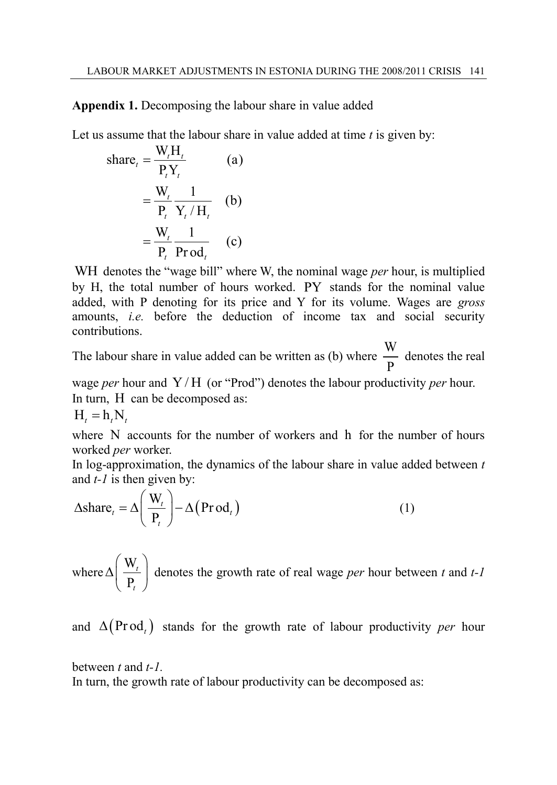**Appendix 1.** Decomposing the labour share in value added

Let us assume that the labour share in value added at time *t* is given by:

share<sub>t</sub> = 
$$
\frac{W_t H_t}{P_t Y_t}
$$
 (a)  
\n=  $\frac{W_t}{P_t} \frac{1}{Y_t / H_t}$  (b)  
\n=  $\frac{W_t}{P_t} \frac{1}{P_{t} \text{Prod}_t}$  (c)

WH denotes the "wage bill" where W, the nominal wage *per* hour, is multiplied by H, the total number of hours worked. PY stands for the nominal value added, with P denoting for its price and Y for its volume. Wages are *gross* amounts, *i.e.* before the deduction of income tax and social security contributions.

The labour share in value added can be written as (b) where  $\frac{W}{R}$ P denotes the real

wage *per* hour and Y / H (or "Prod") denotes the labour productivity *per* hour. In turn, H can be decomposed as:  $H_t = h_t N_t$ 

where N accounts for the number of workers and h for the number of hours worked *per* worker.

In log-approximation, the dynamics of the labour share in value added between *t*

and *t-1* is then given by:  
\n
$$
\Delta \text{share}_t = \Delta \left( \frac{W_t}{P_t} \right) - \Delta \left( \text{Prod}_t \right)
$$
\n(1)

where  $\Delta \left( \frac{W_i}{P_i} \right)$ P  $(W_{t})$  $\Delta\left(\frac{\mathbf{w}_t}{\mathbf{P}_t}\right)$ *t* denotes the growth rate of real wage *per* hour between *t* and *t-1* 

and  $\Delta(\text{Prod}_t)$  stands for the growth rate of labour productivity *per* hour

between *t* and *t-1.* 

In turn, the growth rate of labour productivity can be decomposed as: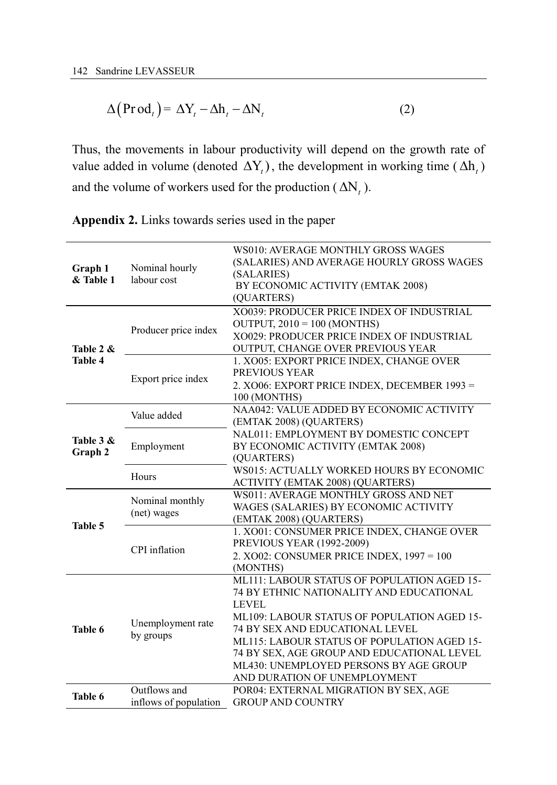$$
\Delta(\text{Prod}_{t}) = \Delta Y_{t} - \Delta h_{t} - \Delta N_{t}
$$
\n(2)

Thus, the movements in labour productivity will depend on the growth rate of value added in volume (denoted  $\Delta Y_t$ ), the development in working time ( $\Delta h_t$ ) and the volume of workers used for the production  $(\Delta N_t)$ .

**Appendix 2.** Links towards series used in the paper

| Graph 1<br>& Table 1        | Nominal hourly<br>labour cost         | WS010: AVERAGE MONTHLY GROSS WAGES<br>(SALARIES) AND AVERAGE HOURLY GROSS WAGES<br>(SALARIES)<br>BY ECONOMIC ACTIVITY (EMTAK 2008)<br>(QUARTERS)                                                                                                                                                                                                                 |  |  |  |  |
|-----------------------------|---------------------------------------|------------------------------------------------------------------------------------------------------------------------------------------------------------------------------------------------------------------------------------------------------------------------------------------------------------------------------------------------------------------|--|--|--|--|
| Table 2 &<br><b>Table 4</b> | Producer price index                  | XO039: PRODUCER PRICE INDEX OF INDUSTRIAL<br>OUTPUT, $2010 = 100$ (MONTHS)<br>XO029: PRODUCER PRICE INDEX OF INDUSTRIAL<br>OUTPUT, CHANGE OVER PREVIOUS YEAR                                                                                                                                                                                                     |  |  |  |  |
|                             | Export price index                    | 1. XO05: EXPORT PRICE INDEX, CHANGE OVER<br>PREVIOUS YEAR<br>2. XO06: EXPORT PRICE INDEX, DECEMBER 1993 =<br>100 (MONTHS)                                                                                                                                                                                                                                        |  |  |  |  |
|                             | Value added                           | NAA042: VALUE ADDED BY ECONOMIC ACTIVITY<br>(EMTAK 2008) (QUARTERS)                                                                                                                                                                                                                                                                                              |  |  |  |  |
| Table 3 &<br>Graph 2        | Employment                            | NAL011: EMPLOYMENT BY DOMESTIC CONCEPT<br>BY ECONOMIC ACTIVITY (EMTAK 2008)<br>(QUARTERS)                                                                                                                                                                                                                                                                        |  |  |  |  |
|                             | Hours                                 | WS015: ACTUALLY WORKED HOURS BY ECONOMIC<br><b>ACTIVITY (EMTAK 2008) (QUARTERS)</b>                                                                                                                                                                                                                                                                              |  |  |  |  |
|                             | Nominal monthly<br>(net) wages        | WS011: AVERAGE MONTHLY GROSS AND NET<br>WAGES (SALARIES) BY ECONOMIC ACTIVITY<br>(EMTAK 2008) (QUARTERS)                                                                                                                                                                                                                                                         |  |  |  |  |
| Table 5                     | CPI inflation                         | 1. XO01: CONSUMER PRICE INDEX, CHANGE OVER<br>PREVIOUS YEAR (1992-2009)<br>2. XO02: CONSUMER PRICE INDEX, 1997 = 100<br>(MONTHS)                                                                                                                                                                                                                                 |  |  |  |  |
| Table 6                     | Unemployment rate<br>by groups        | ML111: LABOUR STATUS OF POPULATION AGED 15-<br>74 BY ETHNIC NATIONALITY AND EDUCATIONAL<br><b>LEVEL</b><br>ML109: LABOUR STATUS OF POPULATION AGED 15-<br>74 BY SEX AND EDUCATIONAL LEVEL<br>ML115: LABOUR STATUS OF POPULATION AGED 15-<br>74 BY SEX, AGE GROUP AND EDUCATIONAL LEVEL<br>ML430: UNEMPLOYED PERSONS BY AGE GROUP<br>AND DURATION OF UNEMPLOYMENT |  |  |  |  |
| Table 6                     | Outflows and<br>inflows of population | POR04: EXTERNAL MIGRATION BY SEX, AGE<br><b>GROUP AND COUNTRY</b>                                                                                                                                                                                                                                                                                                |  |  |  |  |